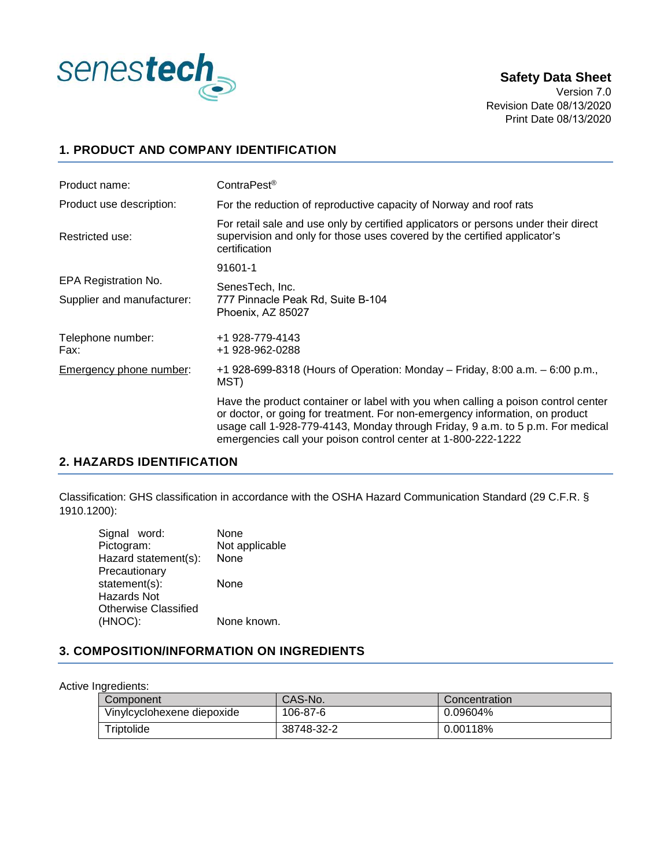

### **Safety Data Sheet**

Version 7.0 Revision Date 08/13/2020 Print Date 08/13/2020

### **1. PRODUCT AND COMPANY IDENTIFICATION**

| Product name:              | ContraPest <sup>®</sup>                                                                                                                                                                                                                                                                                              |
|----------------------------|----------------------------------------------------------------------------------------------------------------------------------------------------------------------------------------------------------------------------------------------------------------------------------------------------------------------|
| Product use description:   | For the reduction of reproductive capacity of Norway and roof rats                                                                                                                                                                                                                                                   |
| Restricted use:            | For retail sale and use only by certified applicators or persons under their direct<br>supervision and only for those uses covered by the certified applicator's<br>certification                                                                                                                                    |
|                            | 91601-1                                                                                                                                                                                                                                                                                                              |
| EPA Registration No.       | SenesTech, Inc.                                                                                                                                                                                                                                                                                                      |
| Supplier and manufacturer: | 777 Pinnacle Peak Rd, Suite B-104<br>Phoenix, AZ 85027                                                                                                                                                                                                                                                               |
| Telephone number:<br>Fax:  | +1 928-779-4143<br>+1 928-962-0288                                                                                                                                                                                                                                                                                   |
| Emergency phone number:    | +1 928-699-8318 (Hours of Operation: Monday – Friday, 8:00 a.m. – 6:00 p.m.,<br>MST)                                                                                                                                                                                                                                 |
|                            | Have the product container or label with you when calling a poison control center<br>or doctor, or going for treatment. For non-emergency information, on product<br>usage call 1-928-779-4143, Monday through Friday, 9 a.m. to 5 p.m. For medical<br>emergencies call your poison control center at 1-800-222-1222 |

### **2. HAZARDS IDENTIFICATION**

Classification: GHS classification in accordance with the OSHA Hazard Communication Standard (29 C.F.R. § 1910.1200):

| Signal word:         | None           |
|----------------------|----------------|
| Pictogram:           | Not applicable |
| Hazard statement(s): | None           |
| Precautionary        |                |
| statement(s):        | None           |
| Hazards Not          |                |
| Otherwise Classified |                |
| (HNOC):              | None known.    |
|                      |                |

### **3. COMPOSITION/INFORMATION ON INGREDIENTS**

Active Ingredients:

| Component                  | CAS-No.    | Concentration |
|----------------------------|------------|---------------|
| Vinylcyclohexene diepoxide | 106-87-6   | 0.09604%      |
| Triptolide                 | 38748-32-2 | 0.00118%      |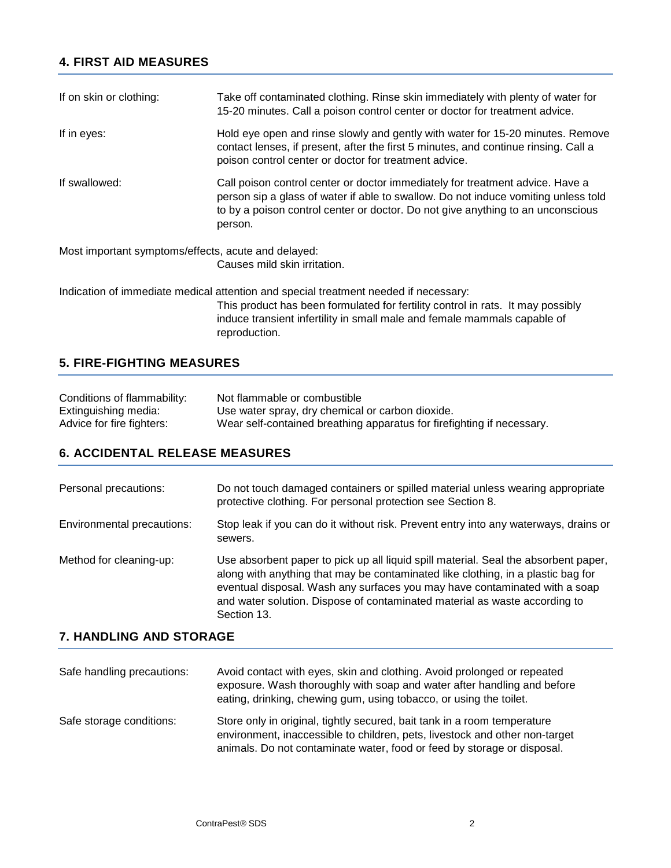# **4. FIRST AID MEASURES**

| If on skin or clothing: | Take off contaminated clothing. Rinse skin immediately with plenty of water for<br>15-20 minutes. Call a poison control center or doctor for treatment advice.                                                                                                    |
|-------------------------|-------------------------------------------------------------------------------------------------------------------------------------------------------------------------------------------------------------------------------------------------------------------|
| If in eyes:             | Hold eye open and rinse slowly and gently with water for 15-20 minutes. Remove<br>contact lenses, if present, after the first 5 minutes, and continue rinsing. Call a<br>poison control center or doctor for treatment advice.                                    |
| If swallowed:           | Call poison control center or doctor immediately for treatment advice. Have a<br>person sip a glass of water if able to swallow. Do not induce vomiting unless told<br>to by a poison control center or doctor. Do not give anything to an unconscious<br>person. |
|                         | Most important symptoms/effects, acute and delayed:                                                                                                                                                                                                               |
|                         | Causes mild skin irritation.                                                                                                                                                                                                                                      |
|                         | Indication of immediate medical attention and special treatment needed if necessary:<br>This product has been formulated for fertility control in rats. It may possibly<br>induce transient infertility in small male and female mammals capable of               |

### **5. FIRE-FIGHTING MEASURES**

| Conditions of flammability: | Not flammable or combustible                                           |
|-----------------------------|------------------------------------------------------------------------|
| Extinguishing media:        | Use water spray, dry chemical or carbon dioxide.                       |
| Advice for fire fighters:   | Wear self-contained breathing apparatus for firefighting if necessary. |

reproduction.

## **6. ACCIDENTAL RELEASE MEASURES**

| Personal precautions:      | Do not touch damaged containers or spilled material unless wearing appropriate<br>protective clothing. For personal protection see Section 8.                                                                                                                                                                                                      |
|----------------------------|----------------------------------------------------------------------------------------------------------------------------------------------------------------------------------------------------------------------------------------------------------------------------------------------------------------------------------------------------|
| Environmental precautions: | Stop leak if you can do it without risk. Prevent entry into any waterways, drains or<br>sewers.                                                                                                                                                                                                                                                    |
| Method for cleaning-up:    | Use absorbent paper to pick up all liquid spill material. Seal the absorbent paper,<br>along with anything that may be contaminated like clothing, in a plastic bag for<br>eventual disposal. Wash any surfaces you may have contaminated with a soap<br>and water solution. Dispose of contaminated material as waste according to<br>Section 13. |

# **7. HANDLING AND STORAGE**

| Safe handling precautions: | Avoid contact with eyes, skin and clothing. Avoid prolonged or repeated<br>exposure. Wash thoroughly with soap and water after handling and before<br>eating, drinking, chewing gum, using tobacco, or using the toilet.           |
|----------------------------|------------------------------------------------------------------------------------------------------------------------------------------------------------------------------------------------------------------------------------|
| Safe storage conditions:   | Store only in original, tightly secured, bait tank in a room temperature<br>environment, inaccessible to children, pets, livestock and other non-target<br>animals. Do not contaminate water, food or feed by storage or disposal. |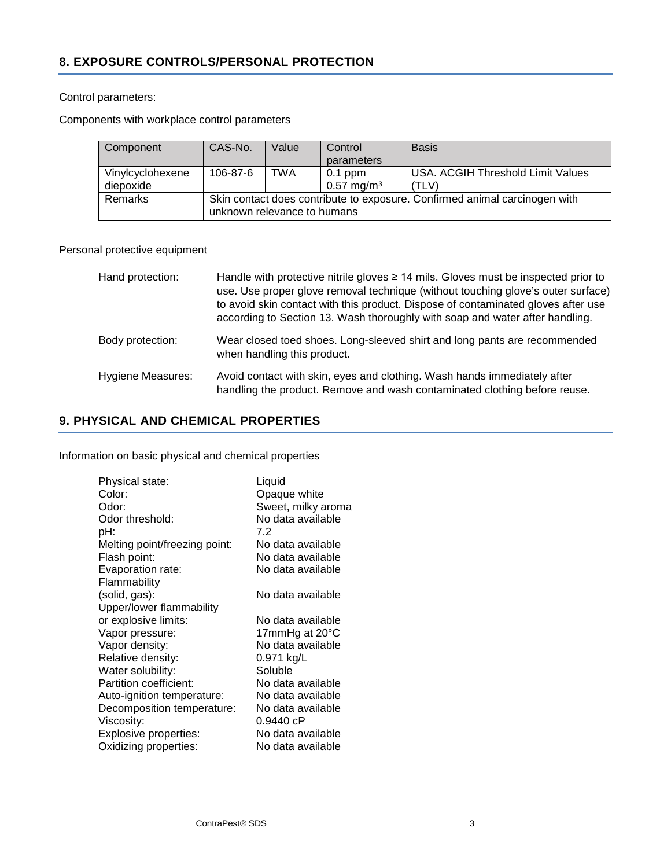#### Control parameters:

Components with workplace control parameters

| Component                     | CAS-No.                                                                                                   | Value | Control<br>parameters              | <b>Basis</b>                                      |
|-------------------------------|-----------------------------------------------------------------------------------------------------------|-------|------------------------------------|---------------------------------------------------|
| Vinylcyclohexene<br>diepoxide | 106-87-6                                                                                                  | TWA   | $0.1$ ppm<br>$0.57 \text{ mg/m}^3$ | <b>USA. ACGIH Threshold Limit Values</b><br>(TLV) |
| Remarks                       | Skin contact does contribute to exposure. Confirmed animal carcinogen with<br>unknown relevance to humans |       |                                    |                                                   |

### Personal protective equipment

| Hand protection:         | Handle with protective nitrile gloves $\geq 14$ mils. Gloves must be inspected prior to<br>use. Use proper glove removal technique (without touching glove's outer surface)<br>to avoid skin contact with this product. Dispose of contaminated gloves after use<br>according to Section 13. Wash thoroughly with soap and water after handling. |
|--------------------------|--------------------------------------------------------------------------------------------------------------------------------------------------------------------------------------------------------------------------------------------------------------------------------------------------------------------------------------------------|
| Body protection:         | Wear closed toed shoes. Long-sleeved shirt and long pants are recommended<br>when handling this product.                                                                                                                                                                                                                                         |
| <b>Hygiene Measures:</b> | Avoid contact with skin, eyes and clothing. Wash hands immediately after<br>handling the product. Remove and wash contaminated clothing before reuse.                                                                                                                                                                                            |

## **9. PHYSICAL AND CHEMICAL PROPERTIES**

Information on basic physical and chemical properties

| Physical state:               | Liquid             |
|-------------------------------|--------------------|
| Color:                        | Opaque white       |
| Odor:                         | Sweet, milky aroma |
| Odor threshold:               | No data available  |
| pH:                           | 7.2                |
| Melting point/freezing point: | No data available  |
| Flash point:                  | No data available  |
| Evaporation rate:             | No data available  |
| Flammability                  |                    |
| (solid, gas):                 | No data available  |
| Upper/lower flammability      |                    |
| or explosive limits:          | No data available  |
| Vapor pressure:               | 17mmHg at 20°C     |
| Vapor density:                | No data available  |
| Relative density:             | 0.971 kg/L         |
| Water solubility:             | Soluble            |
| Partition coefficient:        | No data available  |
| Auto-ignition temperature:    | No data available  |
| Decomposition temperature:    | No data available  |
| Viscosity:                    | 0.9440 cP          |
| Explosive properties:         | No data available  |
| Oxidizing properties:         | No data available  |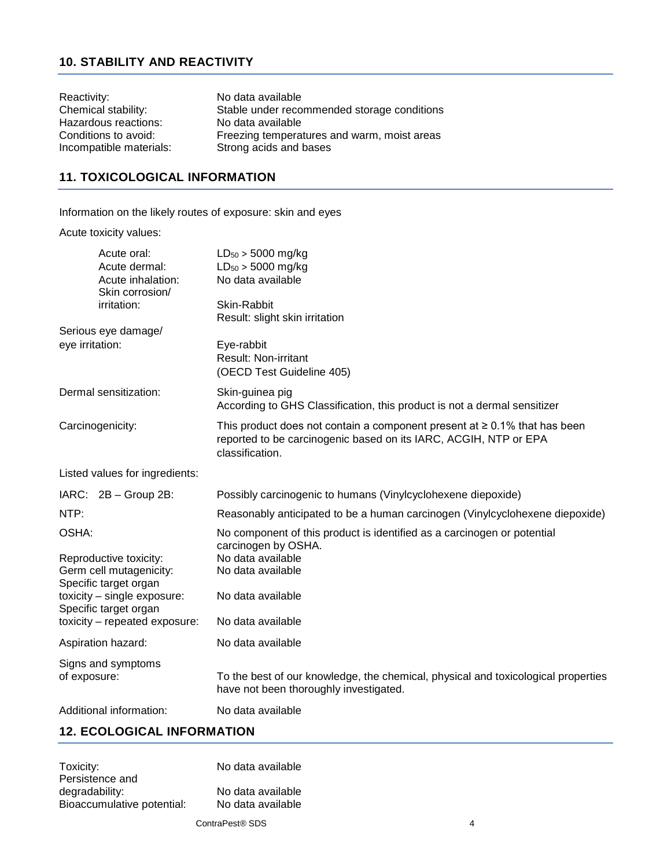# **10. STABILITY AND REACTIVITY**

| Reactivity:             | No data available                           |
|-------------------------|---------------------------------------------|
| Chemical stability:     | Stable under recommended storage conditions |
| Hazardous reactions:    | No data available                           |
| Conditions to avoid:    | Freezing temperatures and warm, moist areas |
| Incompatible materials: | Strong acids and bases                      |

# **11. TOXICOLOGICAL INFORMATION**

Information on the likely routes of exposure: skin and eyes

Acute toxicity values:

| Acute oral:<br>Acute dermal:<br>Acute inhalation:                             | $LD_{50}$ > 5000 mg/kg<br>$LD_{50}$ > 5000 mg/kg<br>No data available                                                                                                  |
|-------------------------------------------------------------------------------|------------------------------------------------------------------------------------------------------------------------------------------------------------------------|
| Skin corrosion/<br>irritation:                                                | Skin-Rabbit<br>Result: slight skin irritation                                                                                                                          |
| Serious eye damage/<br>eye irritation:                                        | Eye-rabbit<br><b>Result: Non-irritant</b><br>(OECD Test Guideline 405)                                                                                                 |
| Dermal sensitization:                                                         | Skin-guinea pig<br>According to GHS Classification, this product is not a dermal sensitizer                                                                            |
| Carcinogenicity:                                                              | This product does not contain a component present at $\geq 0.1\%$ that has been<br>reported to be carcinogenic based on its IARC, ACGIH, NTP or EPA<br>classification. |
| Listed values for ingredients:                                                |                                                                                                                                                                        |
| $IARC: 2B - Group 2B:$                                                        | Possibly carcinogenic to humans (Vinylcyclohexene diepoxide)                                                                                                           |
| NTP:                                                                          | Reasonably anticipated to be a human carcinogen (Vinylcyclohexene diepoxide)                                                                                           |
| OSHA:<br>Reproductive toxicity:<br>Germ cell mutagenicity:                    | No component of this product is identified as a carcinogen or potential<br>carcinogen by OSHA.<br>No data available<br>No data available                               |
| Specific target organ<br>toxicity - single exposure:<br>Specific target organ | No data available                                                                                                                                                      |
| toxicity - repeated exposure:                                                 | No data available                                                                                                                                                      |
| Aspiration hazard:                                                            | No data available                                                                                                                                                      |
| Signs and symptoms<br>of exposure:                                            | To the best of our knowledge, the chemical, physical and toxicological properties<br>have not been thoroughly investigated.                                            |
| Additional information:                                                       | No data available                                                                                                                                                      |
| 12 ECOLOGICAL INFORMATION                                                     |                                                                                                                                                                        |

### **12. ECOLOGICAL INFORMATION**

| Toxicity:                  | No data available |
|----------------------------|-------------------|
| Persistence and            |                   |
| degradability:             | No data available |
| Bioaccumulative potential: | No data available |